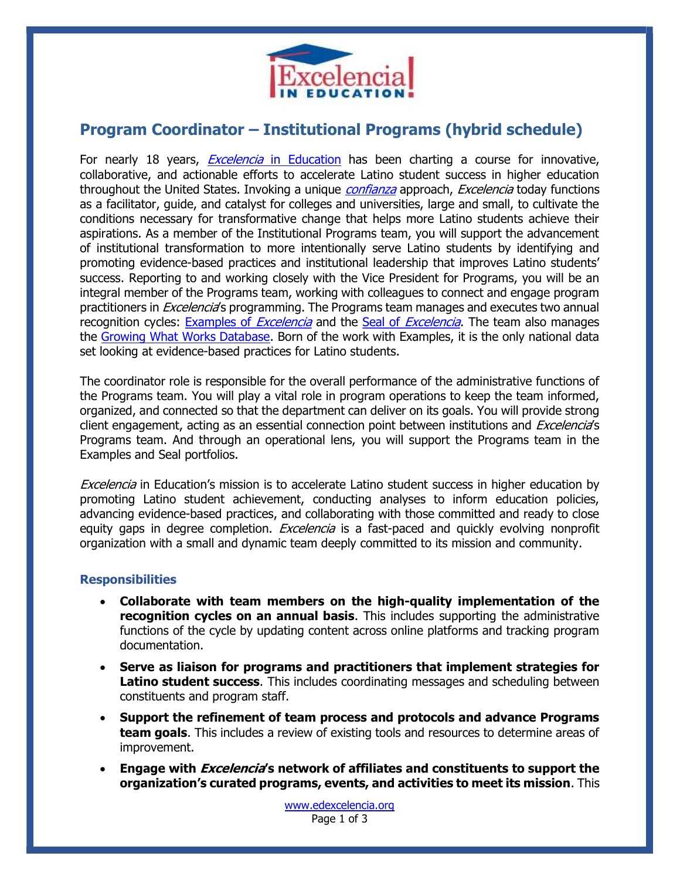

# Program Coordinator – Institutional Programs (hybrid schedule)

For nearly 18 years, *Excelencia* in Education has been charting a course for innovative, collaborative, and actionable efforts to accelerate Latino student success in higher education throughout the United States. Invoking a unique *confianza* approach, *Excelencia* today functions as a facilitator, guide, and catalyst for colleges and universities, large and small, to cultivate the conditions necessary for transformative change that helps more Latino students achieve their aspirations. As a member of the Institutional Programs team, you will support the advancement of institutional transformation to more intentionally serve Latino students by identifying and promoting evidence-based practices and institutional leadership that improves Latino students' success. Reporting to and working closely with the Vice President for Programs, you will be an integral member of the Programs team, working with colleagues to connect and engage program practitioners in *Excelencia*'s programming. The Programs team manages and executes two annual recognition cycles: Examples of *Excelencia* and the Seal of *Excelencia*. The team also manages the Growing What Works Database. Born of the work with Examples, it is the only national data set looking at evidence-based practices for Latino students.

The coordinator role is responsible for the overall performance of the administrative functions of the Programs team. You will play a vital role in program operations to keep the team informed, organized, and connected so that the department can deliver on its goals. You will provide strong client engagement, acting as an essential connection point between institutions and *Excelencia*'s Programs team. And through an operational lens, you will support the Programs team in the Examples and Seal portfolios.

**Excelencia** in Education's mission is to accelerate Latino student success in higher education by promoting Latino student achievement, conducting analyses to inform education policies, advancing evidence-based practices, and collaborating with those committed and ready to close equity gaps in degree completion. *Excelencia* is a fast-paced and quickly evolving nonprofit organization with a small and dynamic team deeply committed to its mission and community.

#### **Responsibilities**

- Collaborate with team members on the high-quality implementation of the recognition cycles on an annual basis. This includes supporting the administrative functions of the cycle by updating content across online platforms and tracking program documentation.
- Serve as liaison for programs and practitioners that implement strategies for Latino student success. This includes coordinating messages and scheduling between constituents and program staff.
- Support the refinement of team process and protocols and advance Programs **team goals.** This includes a review of existing tools and resources to determine areas of improvement.
- Engage with *Excelencia'*s network of affiliates and constituents to support the organization's curated programs, events, and activities to meet its mission. This

www.edexcelencia.org Page 1 of 3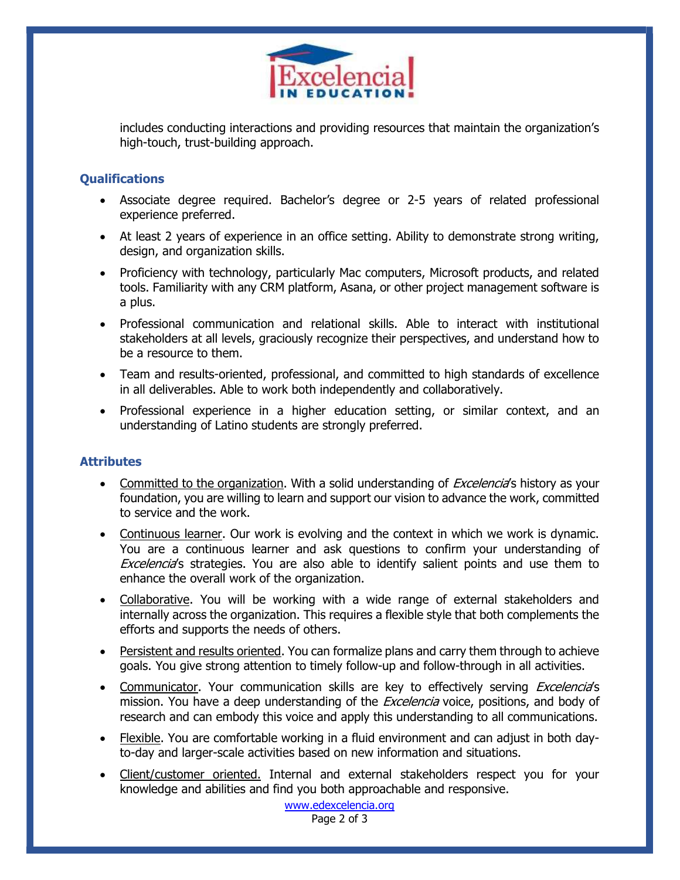

includes conducting interactions and providing resources that maintain the organization's high-touch, trust-building approach.

# **Qualifications**

- Associate degree required. Bachelor's degree or 2-5 years of related professional experience preferred.
- At least 2 years of experience in an office setting. Ability to demonstrate strong writing, design, and organization skills.
- Proficiency with technology, particularly Mac computers, Microsoft products, and related tools. Familiarity with any CRM platform, Asana, or other project management software is a plus.
- Professional communication and relational skills. Able to interact with institutional stakeholders at all levels, graciously recognize their perspectives, and understand how to be a resource to them.
- Team and results-oriented, professional, and committed to high standards of excellence in all deliverables. Able to work both independently and collaboratively.
- Professional experience in a higher education setting, or similar context, and an understanding of Latino students are strongly preferred.

# **Attributes**

- Committed to the organization. With a solid understanding of *Excelencia'*s history as your foundation, you are willing to learn and support our vision to advance the work, committed to service and the work.
- Continuous learner. Our work is evolving and the context in which we work is dynamic. You are a continuous learner and ask questions to confirm your understanding of Excelencia's strategies. You are also able to identify salient points and use them to enhance the overall work of the organization.
- Collaborative. You will be working with a wide range of external stakeholders and internally across the organization. This requires a flexible style that both complements the efforts and supports the needs of others.
- Persistent and results oriented. You can formalize plans and carry them through to achieve goals. You give strong attention to timely follow-up and follow-through in all activities.
- Communicator. Your communication skills are key to effectively serving *Excelencia*'s mission. You have a deep understanding of the *Excelencia* voice, positions, and body of research and can embody this voice and apply this understanding to all communications.
- Flexible. You are comfortable working in a fluid environment and can adjust in both dayto-day and larger-scale activities based on new information and situations.
- Client/customer oriented. Internal and external stakeholders respect you for your knowledge and abilities and find you both approachable and responsive.